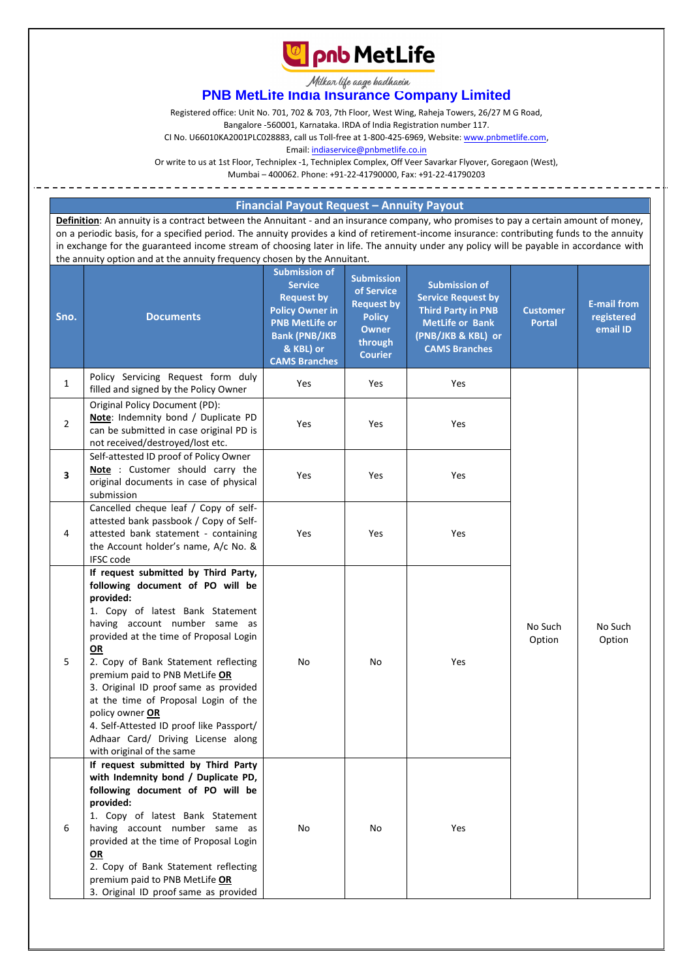

Milkar life aage hadhaein

# **PNB MetLife India Insurance Company Limited**

Registered office: Unit No. 701, 702 & 703, 7th Floor, West Wing, Raheja Towers, 26/27 M G Road,

Bangalore -560001, Karnataka. IRDA of India Registration number 117.

CI No. U66010KA2001PLC028883, call us Toll-free at 1-800-425-6969, Website[: www.pnbmetlife.com,](http://www.pnbmetlife.com/)

Email[: indiaservice@pnbmetlife.co.in](mailto:indiaservice@pnbmetlife.co.in)

Or write to us at 1st Floor, Techniplex -1, Techniplex Complex, Off Veer Savarkar Flyover, Goregaon (West),

Mumbai – 400062. Phone: +91-22-41790000, Fax: +91-22-41790203

### **Financial Payout Request – Annuity Payout**

**Definition**: An annuity is a contract between the Annuitant - and an insurance company, who promises to pay a certain amount of money, on a periodic basis, for a specified period. The annuity provides a kind of retirement-income insurance: contributing funds to the annuity in exchange for the guaranteed income stream of choosing later in life. The annuity under any policy will be payable in accordance with the annuity option and at the annuity frequency chosen by the Annuitant.

| Sno.           | <b>Documents</b>                                                                                                                                                                                                                                                                                                                                                                                                                                                                                        | <b>Submission of</b><br><b>Service</b><br><b>Request by</b><br><b>Policy Owner in</b><br><b>PNB MetLife or</b><br><b>Bank (PNB/JKB</b><br>& KBL) or<br><b>CAMS Branches</b> | <b>Submission</b><br>of Service<br><b>Request by</b><br><b>Policy</b><br><b>Owner</b><br>through<br><b>Courier</b> | <b>Submission of</b><br><b>Service Request by</b><br><b>Third Party in PNB</b><br><b>MetLife or Bank</b><br>(PNB/JKB & KBL) or<br><b>CAMS Branches</b> | <b>Customer</b><br><b>Portal</b> | <b>E-mail from</b><br>registered<br>email ID |
|----------------|---------------------------------------------------------------------------------------------------------------------------------------------------------------------------------------------------------------------------------------------------------------------------------------------------------------------------------------------------------------------------------------------------------------------------------------------------------------------------------------------------------|-----------------------------------------------------------------------------------------------------------------------------------------------------------------------------|--------------------------------------------------------------------------------------------------------------------|--------------------------------------------------------------------------------------------------------------------------------------------------------|----------------------------------|----------------------------------------------|
| $\mathbf{1}$   | Policy Servicing Request form duly<br>filled and signed by the Policy Owner                                                                                                                                                                                                                                                                                                                                                                                                                             | Yes                                                                                                                                                                         | Yes                                                                                                                | Yes                                                                                                                                                    |                                  |                                              |
| $\overline{2}$ | Original Policy Document (PD):<br>Note: Indemnity bond / Duplicate PD<br>can be submitted in case original PD is<br>not received/destroyed/lost etc.                                                                                                                                                                                                                                                                                                                                                    | Yes                                                                                                                                                                         | Yes                                                                                                                | Yes                                                                                                                                                    |                                  |                                              |
| 3              | Self-attested ID proof of Policy Owner<br>Note: Customer should carry the<br>original documents in case of physical<br>submission                                                                                                                                                                                                                                                                                                                                                                       | Yes                                                                                                                                                                         | Yes                                                                                                                | Yes                                                                                                                                                    |                                  |                                              |
| 4              | Cancelled cheque leaf / Copy of self-<br>attested bank passbook / Copy of Self-<br>attested bank statement - containing<br>the Account holder's name, A/c No. &<br><b>IFSC code</b>                                                                                                                                                                                                                                                                                                                     | Yes                                                                                                                                                                         | Yes                                                                                                                | Yes                                                                                                                                                    |                                  |                                              |
| 5              | If request submitted by Third Party,<br>following document of PO will be<br>provided:<br>1. Copy of latest Bank Statement<br>having account number same as<br>provided at the time of Proposal Login<br>OR<br>2. Copy of Bank Statement reflecting<br>premium paid to PNB MetLife OR<br>3. Original ID proof same as provided<br>at the time of Proposal Login of the<br>policy owner OR<br>4. Self-Attested ID proof like Passport/<br>Adhaar Card/ Driving License along<br>with original of the same | No                                                                                                                                                                          | No                                                                                                                 | Yes                                                                                                                                                    | No Such<br>Option                | No Such<br>Option                            |
| 6              | If request submitted by Third Party<br>with Indemnity bond / Duplicate PD,<br>following document of PO will be<br>provided:<br>1. Copy of latest Bank Statement<br>having account number same as<br>provided at the time of Proposal Login<br>OR<br>2. Copy of Bank Statement reflecting<br>premium paid to PNB MetLife OR<br>3. Original ID proof same as provided                                                                                                                                     | No                                                                                                                                                                          | No                                                                                                                 | Yes                                                                                                                                                    |                                  |                                              |